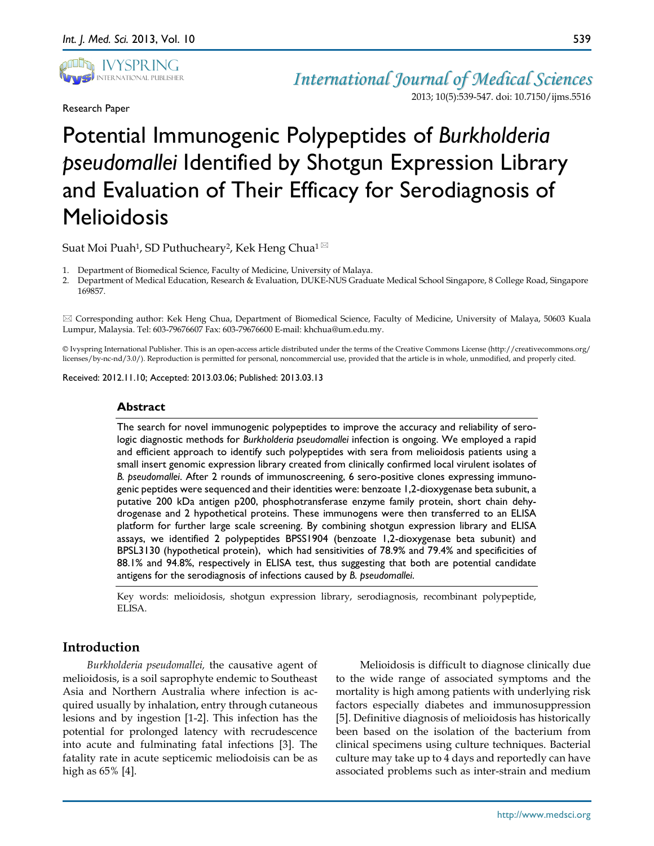

Research Paper

*International Journal of Medical Sciences* 2013; 10(5):539-547. doi: 10.7150/ijms.5516

# Potential Immunogenic Polypeptides of *Burkholderia pseudomallei* Identified by Shotgun Expression Library and Evaluation of Their Efficacy for Serodiagnosis of **Melioidosis**

Suat Moi Puah<sup>1</sup>, SD Puthucheary<sup>2</sup>, Kek Heng Chua<sup>1 $\boxtimes$ </sup>

1. Department of Biomedical Science, Faculty of Medicine, University of Malaya.

2. Department of Medical Education, Research & Evaluation, DUKE-NUS Graduate Medical School Singapore, 8 College Road, Singapore 169857.

 Corresponding author: Kek Heng Chua, Department of Biomedical Science, Faculty of Medicine, University of Malaya, 50603 Kuala Lumpur, Malaysia. Tel: 603-79676607 Fax: 603-79676600 E-mail: khchua@um.edu.my.

© Ivyspring International Publisher. This is an open-access article distributed under the terms of the Creative Commons License (http://creativecommons.org/ licenses/by-nc-nd/3.0/). Reproduction is permitted for personal, noncommercial use, provided that the article is in whole, unmodified, and properly cited.

Received: 2012.11.10; Accepted: 2013.03.06; Published: 2013.03.13

## **Abstract**

The search for novel immunogenic polypeptides to improve the accuracy and reliability of serologic diagnostic methods for *Burkholderia pseudomallei* infection is ongoing. We employed a rapid and efficient approach to identify such polypeptides with sera from melioidosis patients using a small insert genomic expression library created from clinically confirmed local virulent isolates of *B. pseudomallei*. After 2 rounds of immunoscreening, 6 sero-positive clones expressing immunogenic peptides were sequenced and their identities were: benzoate 1,2-dioxygenase beta subunit, a putative 200 kDa antigen p200, phosphotransferase enzyme family protein, short chain dehydrogenase and 2 hypothetical proteins. These immunogens were then transferred to an ELISA platform for further large scale screening. By combining shotgun expression library and ELISA assays, we identified 2 polypeptides BPSS1904 (benzoate 1,2-dioxygenase beta subunit) and BPSL3130 (hypothetical protein), which had sensitivities of 78.9% and 79.4% and specificities of 88.1% and 94.8%, respectively in ELISA test, thus suggesting that both are potential candidate antigens for the serodiagnosis of infections caused by *B. pseudomallei*.

Key words: melioidosis, shotgun expression library, serodiagnosis, recombinant polypeptide, ELISA.

# **Introduction**

*Burkholderia pseudomallei,* the causative agent of melioidosis, is a soil saprophyte endemic to Southeast Asia and Northern Australia where infection is acquired usually by inhalation, entry through cutaneous lesions and by ingestion [1-2]. This infection has the potential for prolonged latency with recrudescence into acute and fulminating fatal infections [3]. The fatality rate in acute septicemic meliodoisis can be as high as 65% [4].

Melioidosis is difficult to diagnose clinically due to the wide range of associated symptoms and the mortality is high among patients with underlying risk factors especially diabetes and immunosuppression [5]. Definitive diagnosis of melioidosis has historically been based on the isolation of the bacterium from clinical specimens using culture techniques. Bacterial culture may take up to 4 days and reportedly can have associated problems such as inter-strain and medium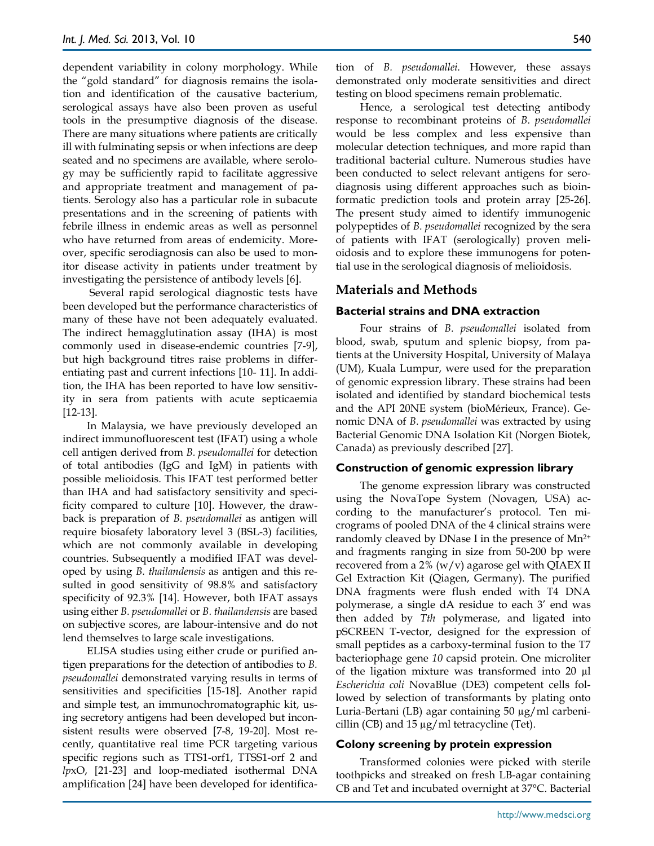dependent variability in colony morphology. While the "gold standard" for diagnosis remains the isolation and identification of the causative bacterium, serological assays have also been proven as useful tools in the presumptive diagnosis of the disease. There are many situations where patients are critically ill with fulminating sepsis or when infections are deep seated and no specimens are available, where serology may be sufficiently rapid to facilitate aggressive and appropriate treatment and management of patients. Serology also has a particular role in subacute presentations and in the screening of patients with febrile illness in endemic areas as well as personnel who have returned from areas of endemicity. Moreover, specific serodiagnosis can also be used to monitor disease activity in patients under treatment by investigating the persistence of antibody levels [6].

Several rapid serological diagnostic tests have been developed but the performance characteristics of many of these have not been adequately evaluated. The indirect hemagglutination assay (IHA) is most commonly used in disease-endemic countries [7-9], but high background titres raise problems in differentiating past and current infections [10- 11]. In addition, the IHA has been reported to have low sensitivity in sera from patients with acute septicaemia [12-13].

In Malaysia, we have previously developed an indirect immunofluorescent test (IFAT) using a whole cell antigen derived from *B. pseudomallei* for detection of total antibodies (IgG and IgM) in patients with possible melioidosis. This IFAT test performed better than IHA and had satisfactory sensitivity and specificity compared to culture [10]. However, the drawback is preparation of *B. pseudomallei* as antigen will require biosafety laboratory level 3 (BSL-3) facilities, which are not commonly available in developing countries. Subsequently a modified IFAT was developed by using *B. thailandensis* as antigen and this resulted in good sensitivity of 98.8% and satisfactory specificity of 92.3% [14]. However, both IFAT assays using either *B. pseudomallei* or *B. thailandensis* are based on subjective scores, are labour-intensive and do not lend themselves to large scale investigations.

ELISA studies using either crude or purified antigen preparations for the detection of antibodies to *B. pseudomallei* demonstrated varying results in terms of sensitivities and specificities [15-18]. Another rapid and simple test, an immunochromatographic kit, using secretory antigens had been developed but inconsistent results were observed [7-8, 19-20]. Most recently, quantitative real time PCR targeting various specific regions such as TTS1-orf1, TTSS1-orf 2 and *lp*xO, [21-23] and loop-mediated isothermal DNA amplification [24] have been developed for identification of *B. pseudomallei.* However, these assays demonstrated only moderate sensitivities and direct testing on blood specimens remain problematic.

Hence, a serological test detecting antibody response to recombinant proteins of *B. pseudomallei* would be less complex and less expensive than molecular detection techniques, and more rapid than traditional bacterial culture. Numerous studies have been conducted to select relevant antigens for serodiagnosis using different approaches such as bioinformatic prediction tools and protein array [25-26]. The present study aimed to identify immunogenic polypeptides of *B. pseudomallei* recognized by the sera of patients with IFAT (serologically) proven melioidosis and to explore these immunogens for potential use in the serological diagnosis of melioidosis.

## **Materials and Methods**

#### **Bacterial strains and DNA extraction**

Four strains of *B. pseudomallei* isolated from blood, swab, sputum and splenic biopsy, from patients at the University Hospital, University of Malaya (UM), Kuala Lumpur, were used for the preparation of genomic expression library. These strains had been isolated and identified by standard biochemical tests and the API 20NE system (bioMérieux, France). Genomic DNA of *B. pseudomallei* was extracted by using Bacterial Genomic DNA Isolation Kit (Norgen Biotek, Canada) as previously described [27].

#### **Construction of genomic expression library**

The genome expression library was constructed using the NovaTope System (Novagen, USA) according to the manufacturer's protocol. Ten micrograms of pooled DNA of the 4 clinical strains were randomly cleaved by DNase I in the presence of Mn2+ and fragments ranging in size from 50-200 bp were recovered from a 2% ( $w/v$ ) agarose gel with QIAEX II Gel Extraction Kit (Qiagen, Germany). The purified DNA fragments were flush ended with T4 DNA polymerase, a single dA residue to each 3' end was then added by *Tth* polymerase, and ligated into pSCREEN T-vector, designed for the expression of small peptides as a carboxy-terminal fusion to the T7 bacteriophage gene *10* capsid protein. One microliter of the ligation mixture was transformed into 20 µl *Escherichia coli* NovaBlue (DE3) competent cells followed by selection of transformants by plating onto Luria-Bertani (LB) agar containing 50 µg/ml carbenicillin (CB) and 15  $\mu$ g/ml tetracycline (Tet).

#### **Colony screening by protein expression**

Transformed colonies were picked with sterile toothpicks and streaked on fresh LB-agar containing CB and Tet and incubated overnight at 37°C. Bacterial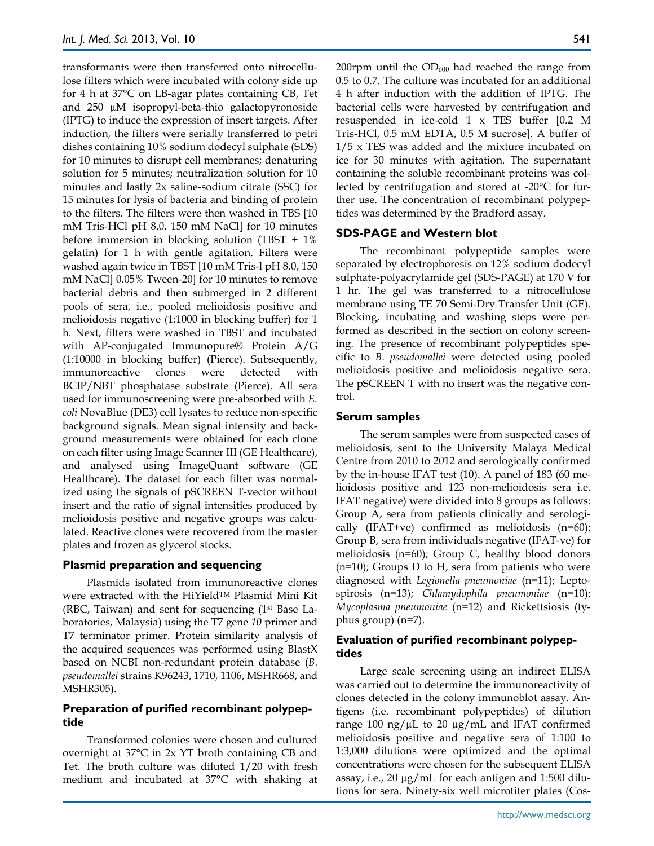transformants were then transferred onto nitrocellulose filters which were incubated with colony side up for 4 h at 37°C on LB-agar plates containing CB, Tet and 250 µM isopropyl-beta-thio galactopyronoside (IPTG) to induce the expression of insert targets. After induction, the filters were serially transferred to petri dishes containing 10% sodium dodecyl sulphate (SDS) for 10 minutes to disrupt cell membranes; denaturing solution for 5 minutes; neutralization solution for 10 minutes and lastly 2x saline-sodium citrate (SSC) for 15 minutes for lysis of bacteria and binding of protein to the filters. The filters were then washed in TBS [10 mM Tris-HCl pH 8.0, 150 mM NaCl] for 10 minutes before immersion in blocking solution (TBST + 1% gelatin) for 1 h with gentle agitation. Filters were washed again twice in TBST [10 mM Tris-l pH 8.0, 150 mM NaCl] 0.05% Tween-20] for 10 minutes to remove bacterial debris and then submerged in 2 different pools of sera, i.e., pooled melioidosis positive and melioidosis negative (1:1000 in blocking buffer) for 1 h. Next, filters were washed in TBST and incubated with AP-conjugated Immunopure® Protein A/G (1:10000 in blocking buffer) (Pierce). Subsequently, immunoreactive clones were detected with BCIP/NBT phosphatase substrate (Pierce). All sera used for immunoscreening were pre-absorbed with *E. coli* NovaBlue (DE3) cell lysates to reduce non-specific background signals. Mean signal intensity and background measurements were obtained for each clone on each filter using Image Scanner III (GE Healthcare), and analysed using ImageQuant software (GE Healthcare). The dataset for each filter was normalized using the signals of pSCREEN T-vector without insert and the ratio of signal intensities produced by melioidosis positive and negative groups was calculated. Reactive clones were recovered from the master plates and frozen as glycerol stocks.

## **Plasmid preparation and sequencing**

Plasmids isolated from immunoreactive clones were extracted with the HiYieldTM Plasmid Mini Kit (RBC, Taiwan) and sent for sequencing (1st Base Laboratories, Malaysia) using the T7 gene *10* primer and T7 terminator primer. Protein similarity analysis of the acquired sequences was performed using BlastX based on NCBI non-redundant protein database (*B. pseudomallei* strains K96243, 1710, 1106, MSHR668, and MSHR305).

## **Preparation of purified recombinant polypeptide**

Transformed colonies were chosen and cultured overnight at 37°C in 2x YT broth containing CB and Tet. The broth culture was diluted 1/20 with fresh medium and incubated at 37°C with shaking at 200rpm until the  $OD_{600}$  had reached the range from 0.5 to 0.7. The culture was incubated for an additional 4 h after induction with the addition of IPTG. The bacterial cells were harvested by centrifugation and resuspended in ice-cold 1 x TES buffer [0.2 M Tris-HCl, 0.5 mM EDTA, 0.5 M sucrose]. A buffer of 1/5 x TES was added and the mixture incubated on ice for 30 minutes with agitation. The supernatant containing the soluble recombinant proteins was collected by centrifugation and stored at -20°C for further use. The concentration of recombinant polypeptides was determined by the Bradford assay.

## **SDS-PAGE and Western blot**

The recombinant polypeptide samples were separated by electrophoresis on 12% sodium dodecyl sulphate-polyacrylamide gel (SDS-PAGE) at 170 V for 1 hr. The gel was transferred to a nitrocellulose membrane using TE 70 Semi-Dry Transfer Unit (GE). Blocking, incubating and washing steps were performed as described in the section on colony screening. The presence of recombinant polypeptides specific to *B. pseudomallei* were detected using pooled melioidosis positive and melioidosis negative sera. The pSCREEN T with no insert was the negative control.

#### **Serum samples**

The serum samples were from suspected cases of melioidosis, sent to the University Malaya Medical Centre from 2010 to 2012 and serologically confirmed by the in-house IFAT test (10). A panel of 183 (60 melioidosis positive and 123 non-melioidosis sera i.e. IFAT negative) were divided into 8 groups as follows: Group A, sera from patients clinically and serologically (IFAT+ve) confirmed as melioidosis (n=60); Group B, sera from individuals negative (IFAT-ve) for melioidosis (n=60); Group C, healthy blood donors (n=10); Groups D to H, sera from patients who were diagnosed with *Legionella pneumoniae* (n=11); Leptospirosis (n=13); *Chlamydophila pneumoniae* (n=10); *Mycoplasma pneumoniae* (n=12) and Rickettsiosis (typhus group) (n=7).

## **Evaluation of purified recombinant polypeptides**

Large scale screening using an indirect ELISA was carried out to determine the immunoreactivity of clones detected in the colony immunoblot assay. Antigens (i.e. recombinant polypeptides) of dilution range 100 ng/ $\mu$ L to 20  $\mu$ g/mL and IFAT confirmed melioidosis positive and negative sera of 1:100 to 1:3,000 dilutions were optimized and the optimal concentrations were chosen for the subsequent ELISA assay, i.e., 20 µg/mL for each antigen and 1:500 dilutions for sera. Ninety-six well microtiter plates (Cos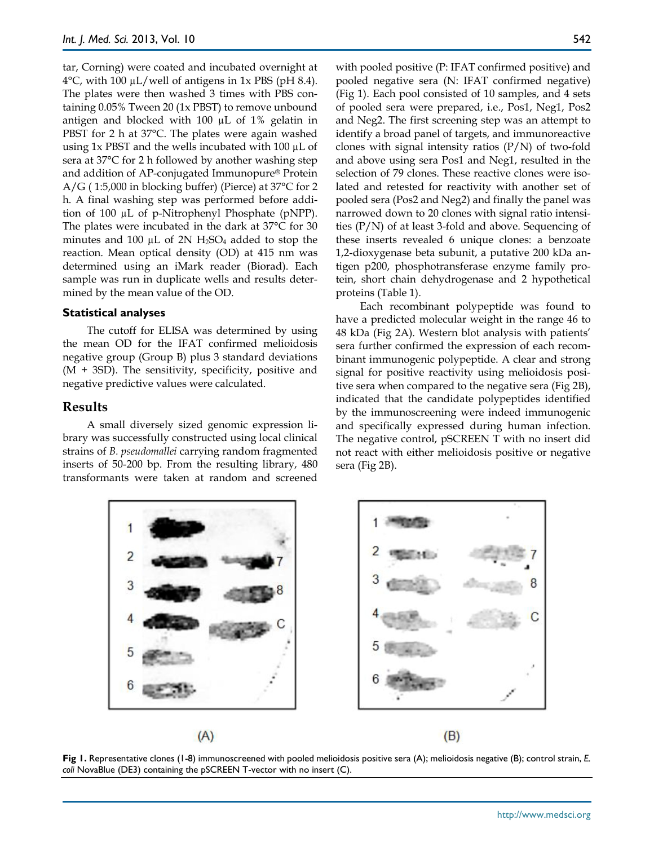tar, Corning) were coated and incubated overnight at  $4^{\circ}$ C, with 100 µL/well of antigens in 1x PBS (pH 8.4). The plates were then washed 3 times with PBS containing 0.05% Tween 20 (1x PBST) to remove unbound antigen and blocked with 100 µL of 1% gelatin in PBST for 2 h at 37°C. The plates were again washed using  $1x$  PBST and the wells incubated with 100  $\mu$ L of sera at 37°C for 2 h followed by another washing step and addition of AP-conjugated Immunopure® Protein A/G ( 1:5,000 in blocking buffer) (Pierce) at 37°C for 2 h. A final washing step was performed before addition of 100 µL of p-Nitrophenyl Phosphate (pNPP). The plates were incubated in the dark at 37°C for 30 minutes and 100  $\mu$ L of 2N H<sub>2</sub>SO<sub>4</sub> added to stop the reaction. Mean optical density (OD) at 415 nm was determined using an iMark reader (Biorad). Each sample was run in duplicate wells and results determined by the mean value of the OD.

#### **Statistical analyses**

The cutoff for ELISA was determined by using the mean OD for the IFAT confirmed melioidosis negative group (Group B) plus 3 standard deviations (M + 3SD). The sensitivity, specificity, positive and negative predictive values were calculated.

## **Results**

A small diversely sized genomic expression library was successfully constructed using local clinical strains of *B. pseudomallei* carrying random fragmented inserts of 50-200 bp. From the resulting library, 480 transformants were taken at random and screened with pooled positive (P: IFAT confirmed positive) and pooled negative sera (N: IFAT confirmed negative) (Fig 1). Each pool consisted of 10 samples, and 4 sets of pooled sera were prepared, i.e., Pos1, Neg1, Pos2 and Neg2. The first screening step was an attempt to identify a broad panel of targets, and immunoreactive clones with signal intensity ratios  $(P/N)$  of two-fold and above using sera Pos1 and Neg1, resulted in the selection of 79 clones. These reactive clones were isolated and retested for reactivity with another set of pooled sera (Pos2 and Neg2) and finally the panel was narrowed down to 20 clones with signal ratio intensities (P/N) of at least 3-fold and above. Sequencing of these inserts revealed 6 unique clones: a benzoate 1,2-dioxygenase beta subunit, a putative 200 kDa antigen p200, phosphotransferase enzyme family protein, short chain dehydrogenase and 2 hypothetical proteins (Table 1).

Each recombinant polypeptide was found to have a predicted molecular weight in the range 46 to 48 kDa (Fig 2A). Western blot analysis with patients' sera further confirmed the expression of each recombinant immunogenic polypeptide. A clear and strong signal for positive reactivity using melioidosis positive sera when compared to the negative sera (Fig 2B), indicated that the candidate polypeptides identified by the immunoscreening were indeed immunogenic and specifically expressed during human infection. The negative control, pSCREEN T with no insert did not react with either melioidosis positive or negative sera (Fig 2B).



**Fig 1.** Representative clones (1-8) immunoscreened with pooled melioidosis positive sera (A); melioidosis negative (B); control strain, *E. coli* NovaBlue (DE3) containing the pSCREEN T-vector with no insert (C).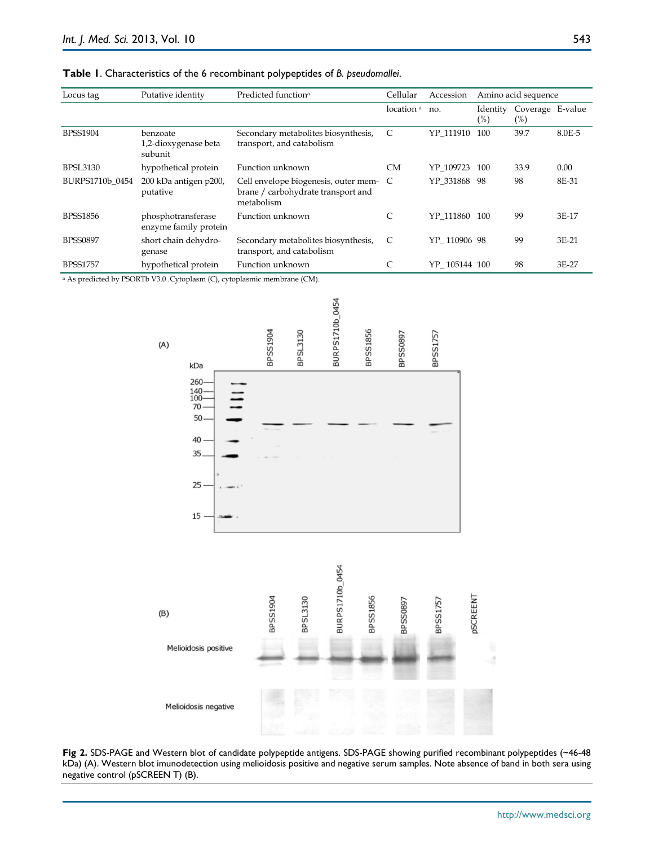| Table 1. Characteristics of the 6 recombinant polypeptides of B. pseudomallei. |  |  |
|--------------------------------------------------------------------------------|--|--|
|--------------------------------------------------------------------------------|--|--|

| Locus tag       | Putative identity                           | Predicted function <sup>a</sup>                                                            | Cellular              | Amino acid sequence<br>Accession |                    |                            |        |
|-----------------|---------------------------------------------|--------------------------------------------------------------------------------------------|-----------------------|----------------------------------|--------------------|----------------------------|--------|
|                 |                                             |                                                                                            | location <sup>a</sup> | no.                              | Identity<br>$(\%)$ | Coverage E-value<br>$(\%)$ |        |
| <b>BPSS1904</b> | benzoate<br>1,2-dioxygenase beta<br>subunit | Secondary metabolites biosynthesis,<br>transport, and catabolism                           | C                     | YP 111910                        | 100                | 39.7                       | 8.0E-5 |
| <b>BPSL3130</b> | hypothetical protein                        | Function unknown                                                                           | <b>CM</b>             | YP_109723                        | 100                | 33.9                       | 0.00   |
| BURPS1710b 0454 | 200 kDa antigen p200,<br>putative           | Cell envelope biogenesis, outer mem- C<br>brane / carbohydrate transport and<br>metabolism |                       | YP 331868 98                     |                    | 98                         | 8E-31  |
| <b>BPSS1856</b> | phosphotransferase<br>enzyme family protein | Function unknown                                                                           | C                     | YP 111860                        | 100                | 99                         | 3E-17  |
| <b>BPSS0897</b> | short chain dehydro-<br>genase              | Secondary metabolites biosynthesis,<br>transport, and catabolism                           | C                     | YP 110906 98                     |                    | 99                         | 3E-21  |
| <b>BPSS1757</b> | hypothetical protein                        | Function unknown                                                                           | C                     | YP 105144 100                    |                    | 98                         | 3E-27  |

<sup>a</sup> As predicted by PSORTb V3.0 .Cytoplasm (C), cytoplasmic membrane (CM).



**Fig 2.** SDS-PAGE and Western blot of candidate polypeptide antigens. SDS-PAGE showing purified recombinant polypeptides (~46-48 kDa) (A). Western blot imunodetection using melioidosis positive and negative serum samples. Note absence of band in both sera using negative control (pSCREEN T) (B).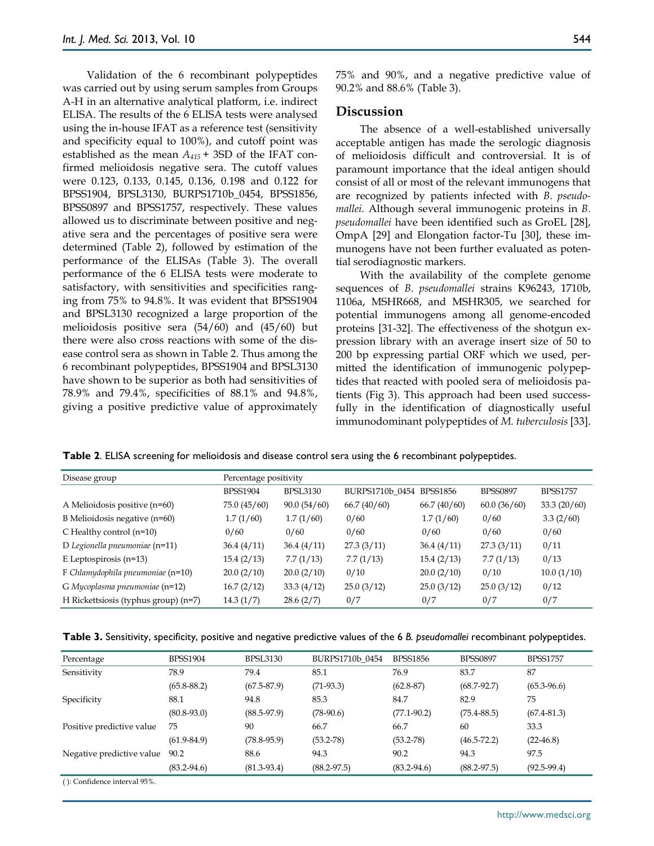Validation of the 6 recombinant polypeptides was carried out by using serum samples from Groups A-H in an alternative analytical platform, i.e. indirect ELISA. The results of the 6 ELISA tests were analysed using the in-house IFAT as a reference test (sensitivity and specificity equal to 100%), and cutoff point was established as the mean *A415* + 3SD of the IFAT confirmed melioidosis negative sera. The cutoff values were 0.123, 0.133, 0.145, 0.136, 0.198 and 0.122 for BPSS1904, BPSL3130, BURPS1710b\_0454, BPSS1856, BPSS0897 and BPSS1757, respectively. These values allowed us to discriminate between positive and negative sera and the percentages of positive sera were determined (Table 2), followed by estimation of the performance of the ELISAs (Table 3). The overall performance of the 6 ELISA tests were moderate to satisfactory, with sensitivities and specificities ranging from 75% to 94.8%. It was evident that BPSS1904 and BPSL3130 recognized a large proportion of the melioidosis positive sera (54/60) and (45/60) but there were also cross reactions with some of the disease control sera as shown in Table 2. Thus among the 6 recombinant polypeptides, BPSS1904 and BPSL3130 have shown to be superior as both had sensitivities of 78.9% and 79.4%, specificities of 88.1% and 94.8%, giving a positive predictive value of approximately

75% and 90%, and a negative predictive value of 90.2% and 88.6% (Table 3).

#### **Discussion**

The absence of a well-established universally acceptable antigen has made the serologic diagnosis of melioidosis difficult and controversial. It is of paramount importance that the ideal antigen should consist of all or most of the relevant immunogens that are recognized by patients infected with *B. pseudomallei.* Although several immunogenic proteins in *B. pseudomallei* have been identified such as GroEL [28], OmpA [29] and Elongation factor-Tu [30], these immunogens have not been further evaluated as potential serodiagnostic markers.

With the availability of the complete genome sequences of *B. pseudomallei* strains K96243, 1710b, 1106a, MSHR668, and MSHR305, we searched for potential immunogens among all genome-encoded proteins [31-32]. The effectiveness of the shotgun expression library with an average insert size of 50 to 200 bp expressing partial ORF which we used, permitted the identification of immunogenic polypeptides that reacted with pooled sera of melioidosis patients (Fig 3). This approach had been used successfully in the identification of diagnostically useful immunodominant polypeptides of *M. tuberculosis* [33].

**Table 2**. ELISA screening for melioidosis and disease control sera using the 6 recombinant polypeptides.

| Disease group                           | Percentage positivity |                 |                 |                 |                 |                 |  |
|-----------------------------------------|-----------------------|-----------------|-----------------|-----------------|-----------------|-----------------|--|
|                                         | <b>BPSS1904</b>       | <b>BPSL3130</b> | BURPS1710b 0454 | <b>BPSS1856</b> | <b>BPSS0897</b> | <b>BPSS1757</b> |  |
| A Melioidosis positive $(n=60)$         | 75.0(45/60)           | 90.0(54/60)     | 66.7(40/60)     | 66.7(40/60)     | 60.0(36/60)     | 33.3(20/60)     |  |
| B Melioidosis negative (n=60)           | 1.7(1/60)             | 1.7(1/60)       | 0/60            | 1.7(1/60)       | 0/60            | 3.3(2/60)       |  |
| C Healthy control $(n=10)$              | 0/60                  | 0/60            | 0/60            | 0/60            | 0/60            | 0/60            |  |
| D Legionella pneumoniae $(n=11)$        | 36.4(4/11)            | 36.4(4/11)      | 27.3(3/11)      | 36.4(4/11)      | 27.3(3/11)      | 0/11            |  |
| E Leptospirosis $(n=13)$                | 15.4(2/13)            | 7.7(1/13)       | 7.7(1/13)       | 15.4(2/13)      | 7.7(1/13)       | 0/13            |  |
| $F$ Chlamydophila pneumoniae ( $n=10$ ) | 20.0(2/10)            | 20.0(2/10)      | 0/10            | 20.0(2/10)      | 0/10            | 10.0(1/10)      |  |
| G Mycoplasma pneumoniae (n=12)          | 16.7(2/12)            | 33.3(4/12)      | 25.0(3/12)      | 25.0(3/12)      | 25.0(3/12)      | 0/12            |  |
| H Rickettsiosis (typhus group) (n=7)    | 14.3(1/7)             | 28.6(2/7)       | 0/7             | 0/7             | 0/7             | 0/7             |  |

| Table 3. Sensitivity, specificity, positive and negative predictive values of the 6 B. pseudomallei recombinant polypeptides |  |  |  |  |  |
|------------------------------------------------------------------------------------------------------------------------------|--|--|--|--|--|
|                                                                                                                              |  |  |  |  |  |

| Percentage                | <b>BPSS1904</b> | <b>BPSL3130</b> | BURPS1710b 0454 | <b>BPSS1856</b> | <b>BPSS0897</b> | <b>BPSS1757</b> |
|---------------------------|-----------------|-----------------|-----------------|-----------------|-----------------|-----------------|
| Sensitivity               | 78.9            | 79.4            | 85.1            | 76.9            | 83.7            | 87              |
|                           | $(65.8 - 88.2)$ | $(67.5 - 87.9)$ | $(71-93.3)$     | $(62.8 - 87)$   | $(68.7 - 92.7)$ | $(65.3 - 96.6)$ |
| Specificity               | 88.1            | 94.8            | 85.3            | 84.7            | 82.9            | 75              |
|                           | $(80.8 - 93.0)$ | $(88.5 - 97.9)$ | $(78-90.6)$     | $(77.1 - 90.2)$ | $(75.4 - 88.5)$ | $(67.4 - 81.3)$ |
| Positive predictive value | 75              | 90              | 66.7            | 66.7            | 60              | 33.3            |
|                           | $(61.9 - 84.9)$ | $(78.8 - 95.9)$ | $(53.2 - 78)$   | $(53.2 - 78)$   | $(46.5 - 72.2)$ | $(22-46.8)$     |
| Negative predictive value | 90.2            | 88.6            | 94.3            | 90.2            | 94.3            | 97.5            |
|                           | $(83.2 - 94.6)$ | $(81.3 - 93.4)$ | $(88.2 - 97.5)$ | $(83.2 - 94.6)$ | $(88.2 - 97.5)$ | $(92.5 - 99.4)$ |

( ): Confidence interval 95%.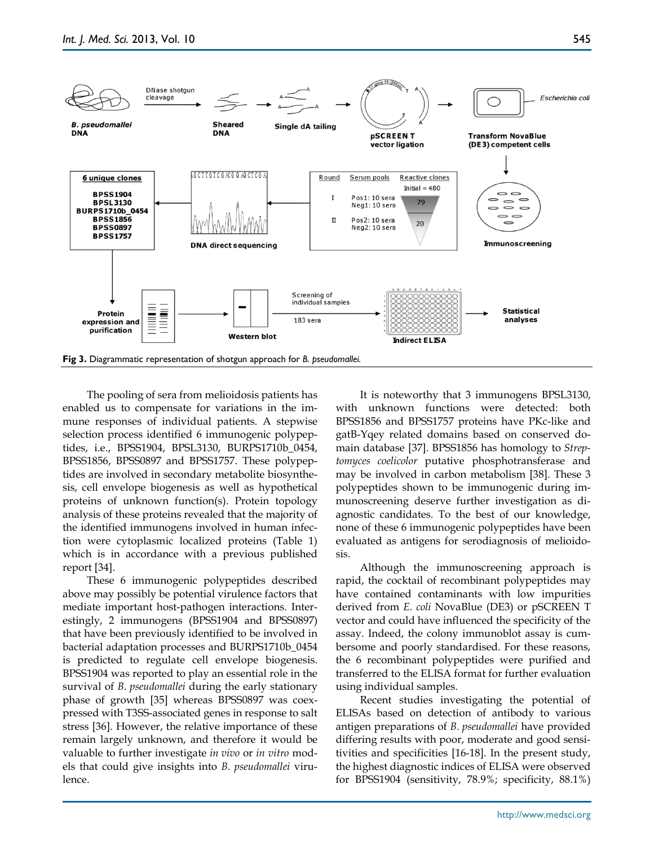

The pooling of sera from melioidosis patients has enabled us to compensate for variations in the immune responses of individual patients. A stepwise selection process identified 6 immunogenic polypeptides, i.e., BPSS1904, BPSL3130, BURPS1710b\_0454, BPSS1856, BPSS0897 and BPSS1757. These polypeptides are involved in secondary metabolite biosynthesis, cell envelope biogenesis as well as hypothetical proteins of unknown function(s). Protein topology analysis of these proteins revealed that the majority of the identified immunogens involved in human infection were cytoplasmic localized proteins (Table 1) which is in accordance with a previous published report [34].

These 6 immunogenic polypeptides described above may possibly be potential virulence factors that mediate important host-pathogen interactions. Interestingly, 2 immunogens (BPSS1904 and BPSS0897) that have been previously identified to be involved in bacterial adaptation processes and BURPS1710b\_0454 is predicted to regulate cell envelope biogenesis. BPSS1904 was reported to play an essential role in the survival of *B. pseudomallei* during the early stationary phase of growth [35] whereas BPSS0897 was coexpressed with T3SS-associated genes in response to salt stress [36]. However, the relative importance of these remain largely unknown, and therefore it would be valuable to further investigate *in vivo* or *in vitro* models that could give insights into *B. pseudomallei* virulence.

It is noteworthy that 3 immunogens BPSL3130, with unknown functions were detected: both BPSS1856 and BPSS1757 proteins have PKc-like and gatB-Yqey related domains based on conserved domain database [37]. BPSS1856 has homology to *Streptomyces coelicolor* putative phosphotransferase and may be involved in carbon metabolism [38]. These 3 polypeptides shown to be immunogenic during immunoscreening deserve further investigation as diagnostic candidates. To the best of our knowledge, none of these 6 immunogenic polypeptides have been evaluated as antigens for serodiagnosis of melioidosis.

Although the immunoscreening approach is rapid, the cocktail of recombinant polypeptides may have contained contaminants with low impurities derived from *E. coli* NovaBlue (DE3) or pSCREEN T vector and could have influenced the specificity of the assay. Indeed, the colony immunoblot assay is cumbersome and poorly standardised. For these reasons, the 6 recombinant polypeptides were purified and transferred to the ELISA format for further evaluation using individual samples.

Recent studies investigating the potential of ELISAs based on detection of antibody to various antigen preparations of *B. pseudomallei* have provided differing results with poor, moderate and good sensitivities and specificities [16-18]. In the present study, the highest diagnostic indices of ELISA were observed for BPSS1904 (sensitivity, 78.9%; specificity, 88.1%)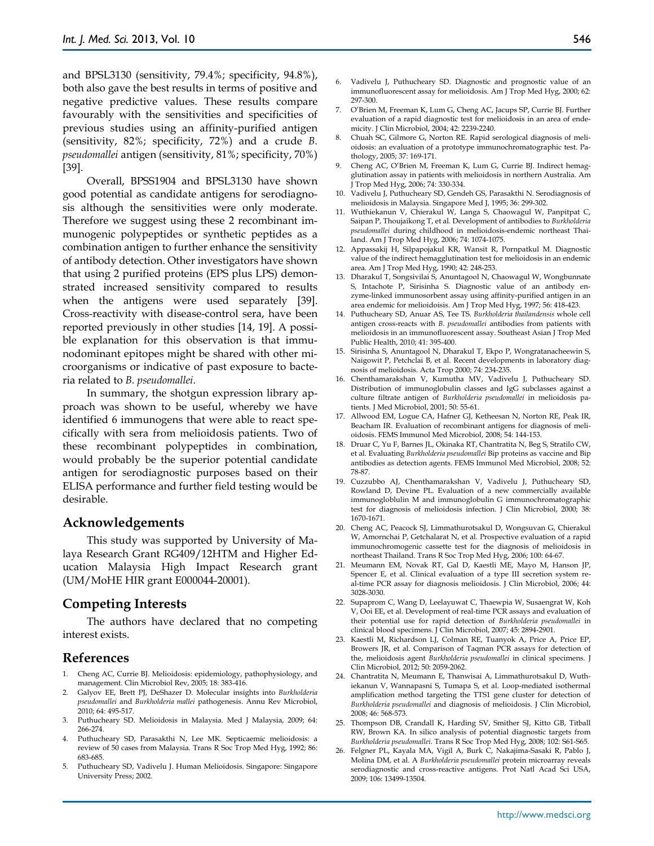and BPSL3130 (sensitivity, 79.4%; specificity, 94.8%), both also gave the best results in terms of positive and negative predictive values. These results compare favourably with the sensitivities and specificities of previous studies using an affinity-purified antigen (sensitivity, 82%; specificity, 72%) and a crude *B. pseudomallei* antigen (sensitivity, 81%; specificity, 70%) [39].

Overall, BPSS1904 and BPSL3130 have shown good potential as candidate antigens for serodiagnosis although the sensitivities were only moderate. Therefore we suggest using these 2 recombinant immunogenic polypeptides or synthetic peptides as a combination antigen to further enhance the sensitivity of antibody detection. Other investigators have shown that using 2 purified proteins (EPS plus LPS) demonstrated increased sensitivity compared to results when the antigens were used separately [39]. Cross-reactivity with disease-control sera, have been reported previously in other studies [14, 19]. A possible explanation for this observation is that immunodominant epitopes might be shared with other microorganisms or indicative of past exposure to bacteria related to *B. pseudomallei*.

In summary, the shotgun expression library approach was shown to be useful, whereby we have identified 6 immunogens that were able to react specifically with sera from melioidosis patients. Two of these recombinant polypeptides in combination, would probably be the superior potential candidate antigen for serodiagnostic purposes based on their ELISA performance and further field testing would be desirable.

#### **Acknowledgements**

This study was supported by University of Malaya Research Grant RG409/12HTM and Higher Education Malaysia High Impact Research grant (UM/MoHE HIR grant E000044-20001).

## **Competing Interests**

The authors have declared that no competing interest exists.

## **References**

- 1. Cheng AC, Currie BJ. Melioidosis: epidemiology, pathophysiology, and management. Clin Microbiol Rev, 2005; 18: 383-416.
- 2. Galyov EE, Brett PJ, DeShazer D. Molecular insights into *Burkholderia pseudomallei* and *Burkholderia mallei* pathogenesis. Annu Rev Microbiol, 2010; 64: 495-517.
- 3. Puthucheary SD. Melioidosis in Malaysia. Med J Malaysia, 2009; 64: 266-274.
- 4. Puthucheary SD, Parasakthi N, Lee MK. Septicaemic melioidosis: a review of 50 cases from Malaysia. Trans R Soc Trop Med Hyg, 1992; 86: 683-685.
- 5. Puthucheary SD, Vadivelu J. Human Melioidosis. Singapore: Singapore University Press; 2002.
- 6. Vadivelu J, Puthucheary SD. Diagnostic and prognostic value of an immunofluorescent assay for melioidosis. Am J Trop Med Hyg, 2000; 62: 297-300.
- 7. O'Brien M, Freeman K, Lum G, Cheng AC, Jacups SP, Currie BJ. Further evaluation of a rapid diagnostic test for melioidosis in an area of endemicity. J Clin Microbiol, 2004; 42: 2239-2240.
- 8. Chuah SC, Gilmore G, Norton RE. Rapid serological diagnosis of melioidosis: an evaluation of a prototype immunochromatographic test. Pathology, 2005; 37: 169-171.
- 9. Cheng AC, O'Brien M, Freeman K, Lum G, Currie BJ. Indirect hemagglutination assay in patients with melioidosis in northern Australia. Am J Trop Med Hyg, 2006; 74: 330-334.
- 10. Vadivelu J, Puthucheary SD, Gendeh GS, Parasakthi N. Serodiagnosis of melioidosis in Malaysia. Singapore Med J, 1995; 36: 299-302.
- 11. Wuthiekanun V, Chierakul W, Langa S, Chaowagul W, Panpitpat C, Saipan P, Thoujaikong T, et al. Development of antibodies to *Burkholderia pseudomallei* during childhood in melioidosis-endemic northeast Thailand. Am J Trop Med Hyg, 2006; 74: 1074-1075.
- 12. Appassakij H, Silpapojakul KR, Wansit R, Pornpatkul M. Diagnostic value of the indirect hemagglutination test for melioidosis in an endemic area. Am J Trop Med Hyg, 1990; 42: 248-253.
- 13. Dharakul T, Songsivilai S, Anuntagool N, Chaowagul W, Wongbunnate S, Intachote P, Sirisinha S. Diagnostic value of an antibody enzyme-linked immunosorbent assay using affinity-purified antigen in an area endemic for melioidoisis. Am J Trop Med Hyg, 1997; 56: 418-423.
- 14. Puthucheary SD, Anuar AS, Tee TS. *Burkholderia thailandensis* whole cell antigen cross-reacts with *B. pseudomallei* antibodies from patients with melioidosis in an immunofluorescent assay. Southeast Asian J Trop Med Public Health, 2010; 41: 395-400.
- 15. Sirisinha S, Anuntagool N, Dharakul T, Ekpo P, Wongratanacheewin S, Naigowit P, Petchclai B, et al. Recent developments in laboratory diagnosis of melioidosis. Acta Trop 2000; 74: 234-235.
- 16. Chenthamarakshan V, Kumutha MV, Vadivelu J, Puthucheary SD. Distribution of immunoglobulin classes and IgG subclasses against a culture filtrate antigen of *Burkholderia pseudomallei* in melioidosis patients. J Med Microbiol, 2001; 50: 55-61.
- 17. Allwood EM, Logue CA, Hafner GJ, Ketheesan N, Norton RE, Peak IR, Beacham IR. Evaluation of recombinant antigens for diagnosis of melioidosis. FEMS Immunol Med Microbiol, 2008; 54: 144-153.
- 18. Druar C, Yu F, Barnes JL, Okinaka RT, Chantratita N, Beg S, Stratilo CW, et al. Evaluating *Burkholderia pseudomallei* Bip proteins as vaccine and Bip antibodies as detection agents. FEMS Immunol Med Microbiol, 2008; 52: 78-87.
- 19. Cuzzubbo AJ, Chenthamarakshan V, Vadivelu J, Puthucheary SD, Rowland D, Devine PL. Evaluation of a new commercially available immunogloblulin M and immunoglobulin G immunochromatographic test for diagnosis of melioidosis infection. J Clin Microbiol, 2000; 38: 1670-1671.
- 20. Cheng AC, Peacock SJ, Limmathurotsakul D, Wongsuvan G, Chierakul W, Amornchai P, Getchalarat N, et al. Prospective evaluation of a rapid immunochromogenic cassette test for the diagnosis of melioidosis in northeast Thailand. Trans R Soc Trop Med Hyg, 2006; 100: 64-67.
- 21. Meumann EM, Novak RT, Gal D, Kaestli ME, Mayo M, Hanson JP, Spencer E, et al. Clinical evaluation of a type III secretion system real-time PCR assay for diagnosis melioidosis. J Clin Microbiol, 2006; 44: 3028-3030.
- 22. Supaprom C, Wang D, Leelayuwat C, Thaewpia W, Susaengrat W, Koh V, Ooi EE, et al. Development of real-time PCR assays and evaluation of their potential use for rapid detection of *Burkholderia pseudomallei* in clinical blood specimens. J Clin Microbiol, 2007; 45: 2894-2901.
- 23. Kaestli M, Richardson LJ, Colman RE, Tuanyok A, Price A, Price EP, Browers JR, et al. Comparison of Taqman PCR assays for detection of the, melioidosis agent *Burkholderia pseudomallei* in clinical specimens. J Clin Microbiol, 2012; 50: 2059-2062.
- 24. Chantratita N, Meumann E, Thanwisai A, Limmathurotsakul D, Wuthiekanun V, Wannapasni S, Tumapa S, et al. Loop-mediated isothermal amplification method targeting the TTS1 gene cluster for detection of *Burkholderia pseudomallei* and diagnosis of melioidosis. J Clin Microbiol, 2008; 46: 568-573.
- 25. Thompson DB, Crandall K, Harding SV, Smither SJ, Kitto GB, Titball RW, Brown KA. In silico analysis of potential diagnostic targets from *Burkholderia pseudomallei*. Trans R Soc Trop Med Hyg, 2008; 102: S61-S65.
- 26. Felgner PL, Kayala MA, Vigil A, Burk C, Nakajima-Sasaki R, Pablo J, Molina DM, et al. A *Burkholderia pseudomallei* protein microarray reveals serodiagnostic and cross-reactive antigens. Prot Natl Acad Sci USA, 2009; 106: 13499-13504.